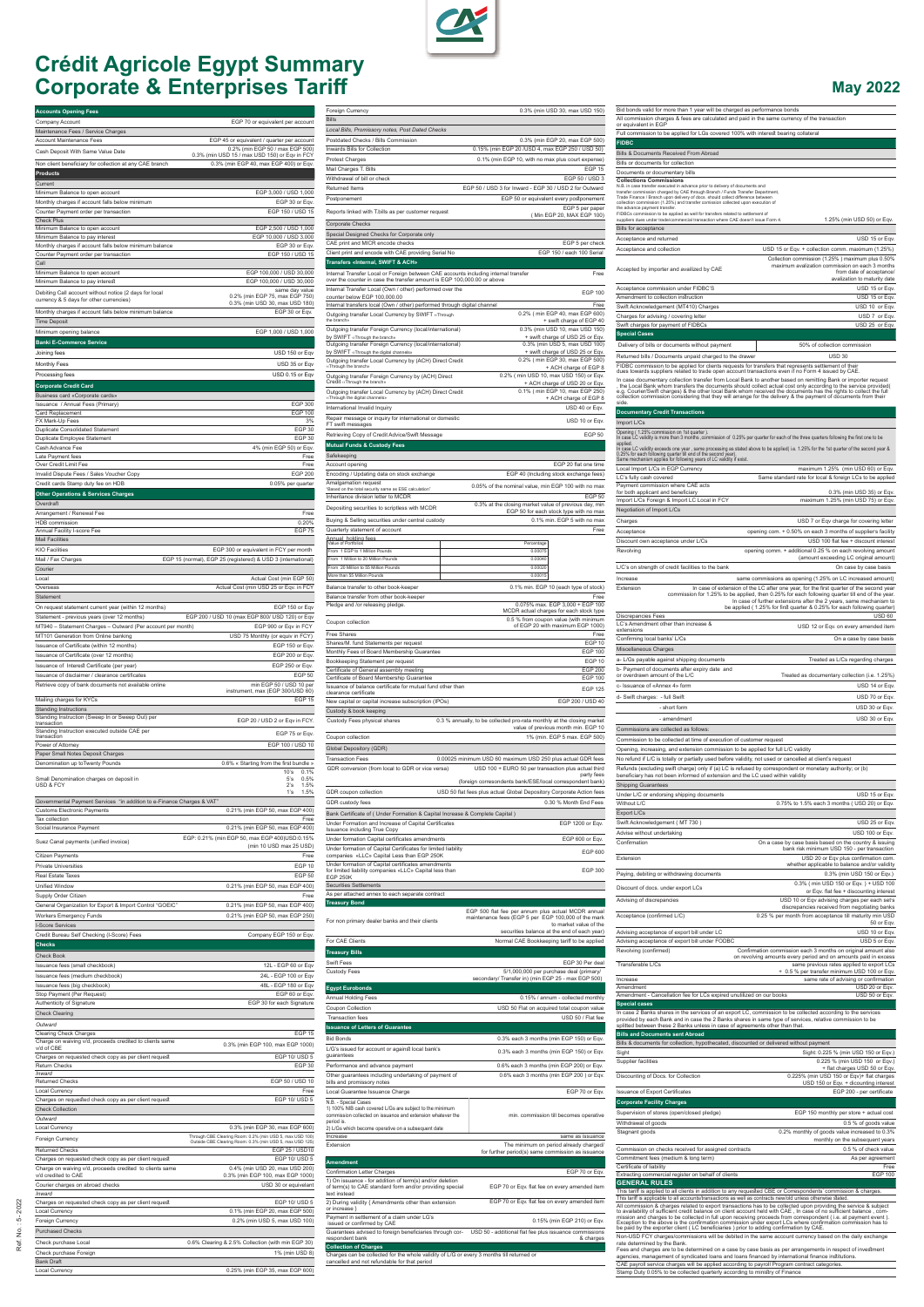

## **Crédit Agricole Egypt Summary Corporate & Enterprises Tariff**

| <b>Accounts Opening Fees</b>                                                                                 |                                                                                                                      |
|--------------------------------------------------------------------------------------------------------------|----------------------------------------------------------------------------------------------------------------------|
| Company Account<br>Maintenance Fees / Service Charges                                                        | EGP 70 or equivalent per account                                                                                     |
| <b>Account Maintenance Fees</b>                                                                              | EGP 45 or equivalent / quarter per account                                                                           |
| Cash Deposit With Same Value Date                                                                            | 0.2% (min EGP 50 / max EGP 500)<br>0.3% (min USD 15 / max USD 150) or Eqv in FCY                                     |
| Non client beneficiary for collection at any CAE branch<br><b>Products</b>                                   | 0.3% (min EGP 40, max EGP 400) or Eqv.                                                                               |
| Current                                                                                                      |                                                                                                                      |
| Minimum Balance to open account<br>Monthly charges if account falls below minimum                            | EGP 3,000 / USD 1,000<br>EGP 30 or Eqv.                                                                              |
| Counter Payment order per transaction                                                                        | EGP 150 / USD 15                                                                                                     |
| <b>Check Plus</b><br>Minimum Balance to open account                                                         | EGP 2,500 / USD 1,000                                                                                                |
| Minimum Balance to pay interest<br>Monthly charges if account falls below minimum balance                    | EGP 10,000 / USD 3,000<br>EGP 30 or Eqv.                                                                             |
| Counter Payment order per transaction                                                                        | EGP 150 / USD 15                                                                                                     |
| Call<br>Minimum Balance to open account                                                                      | EGP 100,000 / USD 30,000                                                                                             |
| Minimum Balance to pay interest                                                                              | EGP 100,000 / USD 30,000<br>same day value                                                                           |
| Debiting Call account without notice (2 days for local<br>currency & 5 days for other currencies)            | 0.2% (min EGP 75, max EGP 750)<br>0.3% (min USD 30, max USD 180)                                                     |
| Monthly charges if account falls below minimum balance                                                       | EGP 30 or Eqv.                                                                                                       |
| <b>Time Deposit</b><br>Minimum opening balance                                                               | EGP 1,000 / USD 1,000                                                                                                |
| <b>Banki E-Commerce Service</b>                                                                              |                                                                                                                      |
| Joining fees<br>Monthly Fees                                                                                 | USD 150 or Eqv<br>USD 35 or Eqv                                                                                      |
| Processing fees                                                                                              | USD 0.15 or Eqv                                                                                                      |
| <b>Corporate Credit Card</b>                                                                                 |                                                                                                                      |
| Business card «Corporate cards»<br>Issuance / Annual Fees (Primary)                                          | <b>EGP 300</b>                                                                                                       |
| Card Replacement<br>FX Mark-Up Fees                                                                          | <b>EGP 100</b><br>3%                                                                                                 |
| <b>Duplicate Consolidated Statement</b>                                                                      | EGP 30                                                                                                               |
| Duplicate Employee Statement<br>Cash Advance Fee                                                             | <b>EGP 30</b><br>4% (min EGP 50) or Eqv.                                                                             |
| Late Payment fees<br>Over Credit Limit Fee                                                                   | Free<br>Free                                                                                                         |
| Invalid Dispute Fees / Sales Voucher Copy                                                                    | <b>EGP 200</b>                                                                                                       |
| Credit cards Stamp duty fee on HDB<br><b>Other Operations &amp; Services Charges</b>                         | 0.05% per quarter                                                                                                    |
| Overdraft                                                                                                    |                                                                                                                      |
| Arrangement / Renewal Fee<br>HDB commission                                                                  | Free<br>0.20%                                                                                                        |
| Annual Facility I-score Fee                                                                                  | EGP 75                                                                                                               |
| <b>Mail Facilities</b><br><b>KIO Facilities</b>                                                              | EGP 300 or equivalent in FCY per month                                                                               |
| Mail / Fax Charges                                                                                           | EGP 15 (normal), EGP 25 (registered) & USD 3 (international)                                                         |
| Courier<br>Local                                                                                             | Actual Cost (min EGP 50)                                                                                             |
| Overseas<br>Statement                                                                                        | Actual Cost (min USD 25 or Eqv. in FCY                                                                               |
| On request statement current year (within 12 months)                                                         | EGP 150 or Eqv                                                                                                       |
| Statement - previous years (over 12 months)                                                                  | EGP 200 / USD 10 (max EGP 800/ USD 120) or Eqv                                                                       |
| MT940 - Statement Charges - Outward (Per account per month)<br>MT101 Generation from Online banking          | EGP 900 or Eqv in FCY<br>USD 75 Monthly (or equiv in FCY)                                                            |
| Issuance of Certificate (within 12 months)                                                                   | EGP 150 or Eqv.                                                                                                      |
| Issuance of Certificate (over 12 months)<br>Issuance of Interest Certificate (per year)                      | EGP 200 or Eqv.<br>EGP 250 or Eqv.                                                                                   |
| Issuance of disclaimer / clearance certificates                                                              | <b>EGP 50</b>                                                                                                        |
| Retrieve copy of bank documents not available online                                                         | min EGP 50 / USD 10 per<br>instrument, max (EGP 300/USD 60)                                                          |
| Mailing charges for KYCs<br><b>Standing Instructions</b>                                                     | EGP <sub>15</sub>                                                                                                    |
| Standing Instruction (Sweep In or Sweep Out) per<br>transaction                                              | EGP 20 / USD 2 or Eqv in FCY.                                                                                        |
| Standing Instruction executed outside CAE per<br>transaction                                                 | EGP 75 or Eqv.                                                                                                       |
| Power of Attorney<br>Paper Small Notes Deposit Charges                                                       | EGP 100 / USD 10                                                                                                     |
| Denomination up toTwenty Pounds                                                                              | 0.6% « Starting from the first bundle »                                                                              |
| Small Denomination charges on deposit in<br>USD & FCY                                                        | 10's<br>0.1%<br>5's<br>0.5%<br>2's<br>1.5%                                                                           |
|                                                                                                              | 1's<br>1.5%                                                                                                          |
| Governmental Payment Services "in addition to e-Finance Charges & VAT"<br><b>Customs Electronic Payments</b> | 0.21% (min EGP 50, max EGP 400)                                                                                      |
| Tax collection<br>Social Insurance Payment                                                                   | Free<br>0.21% (min EGP 50, max EGP 400)                                                                              |
| Suez Canal payments (unified invoice)                                                                        | EGP: 0.21% (min EGP 50, max EGP 400)USD:0.15%                                                                        |
| Citizen Payments                                                                                             | (min 10 USD max 25 USD)<br>Free                                                                                      |
| <b>Private Universities</b>                                                                                  | EGP <sub>10</sub>                                                                                                    |
| Real Estate Taxes<br>Unified Window                                                                          | <b>EGP 50</b><br>0.21% (min EGP 50, max EGP 400)                                                                     |
| Supply Order Citizen                                                                                         | Free                                                                                                                 |
| General Organization for Export & Import Control "GOEIC"                                                     | 0.21% (min EGP 50, max EGP 400)                                                                                      |
| <b>Workers Emergency Funds</b><br><b>I-Score Services</b>                                                    | 0.21% (min EGP 50, max EGP 250)                                                                                      |
| Credit Bureau Self Checking (I-Score) Fees                                                                   | Company EGP 150 or Eqv.                                                                                              |
| <b>Checks</b><br><b>Check Book</b>                                                                           |                                                                                                                      |
| Issuance fees (small checkbook)                                                                              | 12L - EGP 60 or Eqv                                                                                                  |
| Issuance fees (medium checkbook)<br>Issuance fees (big checkbook)                                            | 24L - EGP 100 or Eqv<br>48L - EGP 180 or Eqv                                                                         |
| Stop Payment (Per Request)                                                                                   | EGP 60 or Eqv.                                                                                                       |
| Authenticity of Signature<br><b>Check Clearing</b>                                                           | EGP 30 for each Signature                                                                                            |
| Outward                                                                                                      |                                                                                                                      |
| <b>Clearing Check Charges</b><br>Charge on waiving v/d, proceeds credited to clients same                    | EGP 15<br>0.3% (min EGP 100, max EGP 1000)                                                                           |
| v/d of CBE<br>Charges on requested check copy as per client request                                          | EGP 10/ USD 5                                                                                                        |
| <b>Return Checks</b><br>Inward                                                                               | EGP 30                                                                                                               |
| <b>Returned Checks</b>                                                                                       | EGP 50 / USD 10                                                                                                      |
| Local Currency<br>Charges on requested check copy as per client request                                      | Free<br>EGP 10/ USD 5                                                                                                |
| <b>Check Collection</b>                                                                                      |                                                                                                                      |
| Outward<br>Local Currency                                                                                    | 0.3% (min EGP 30, max EGP 600)                                                                                       |
| Foreign Currency                                                                                             | Through CBE Clearing Room: 0.2% (min USD 5, max USD 100)<br>Outside CBE Clearing Room: 0.3% (min USD 5, max USD 125) |
| <b>Returned Checks</b><br>Charges on requested check copy as per client request                              | EGP 25 / USD10<br>EGP 10/ USD 5                                                                                      |
| Charge on waiving v/d, proceeds credited to clients same<br>v/d credited to CAE                              | 0.4% (min USD 20, max USD 200)<br>0.3% (min EGP 100, max EGP 1000)                                                   |
| Courier charges on abroad checks                                                                             | USD 30 or equivelant                                                                                                 |
| Inward<br>Charges on requested check copy as per client request                                              | EGP 10/ USD 5                                                                                                        |
| Local Currency                                                                                               | 0.1% (min EGP 20, max EGP 500)                                                                                       |
| Foreign Currency<br><b>Purchased Checks</b>                                                                  | 0.2% (min USD 5, max USD 100)                                                                                        |
| Check purchase Local                                                                                         | 0.6% Clearing & 2.5% Collection (with min EGP 30)                                                                    |
| Check purchase Foreign<br><b>Bank Draft</b>                                                                  | 1% (min USD 8)                                                                                                       |
| Local Currency                                                                                               | 0.25% (min EGP 35, max EGP 600)                                                                                      |

| Foreign Currency<br><b>Bills</b>                                                                                                                               |                                                                                                                    | 0.3% (min USD 30, max USD 150)                                                       |
|----------------------------------------------------------------------------------------------------------------------------------------------------------------|--------------------------------------------------------------------------------------------------------------------|--------------------------------------------------------------------------------------|
| Local Bills, Promissory notes, Post Dated Checks<br>Postdated Checks / Bills Commission<br>Inwards Bills for Collection                                        | 0.15% (min EGP 20 /USD 4, max EGP 250 / USD 50)                                                                    | 0.3% (min EGP 20, max EGP 500)                                                       |
| <b>Protest Charges</b>                                                                                                                                         | 0.1% (min EGP 10, with no max plus court expense)                                                                  |                                                                                      |
| Mail Charges T. Bills<br>Withdrawal of bill or check                                                                                                           |                                                                                                                    | EGP <sub>15</sub><br>EGP 50 / USD 3                                                  |
| Returned Items                                                                                                                                                 | EGP 50 / USD 3 for Inward - EGP 30 / USD 2 for Outward                                                             |                                                                                      |
| Postponement<br>Reports linked with T.bills as per customer request                                                                                            |                                                                                                                    | EGP 50 or equivalent every postponement<br>EGP 5 per paper                           |
| Corporate Checks                                                                                                                                               |                                                                                                                    | (Min EGP 20, MAX EGP 100)                                                            |
| Special Designed Checks for Corporate only                                                                                                                     |                                                                                                                    |                                                                                      |
| CAE print and MICR encode checks<br>Client print and encode with CAE providing Serial No                                                                       |                                                                                                                    | EGP 5 per check<br>EGP 150 / each 100 Serial                                         |
| Transfers «Internal, SWIFT & ACH»                                                                                                                              |                                                                                                                    |                                                                                      |
| Internal Transfer Local or Foreign between CAE accounts including internal transfer<br>over the counter in case the transfer amount is EGP 100,000.00 or above |                                                                                                                    | Free                                                                                 |
| Internal Transfer Local (Own / other) performed over the<br>counter below EGP 100,000.00                                                                       |                                                                                                                    | <b>EGP 100</b>                                                                       |
| Internal transfers local (Own / other) performed through digital channel<br>Outgoing transfer Local Currency by SWIFT «Through                                 |                                                                                                                    | Free<br>0.2% ( min EGP 40, max EGP 600)                                              |
| the branch»<br>Outgoing transfer Foreign Currency (local/international)                                                                                        |                                                                                                                    | + swift charge of EGP 40<br>0.3% (min USD 10, max USD 150)                           |
| by SWIFT «Through the branch»<br>Outgoing transfer Foreign Currency (local/international)                                                                      |                                                                                                                    | + swift charge of USD 25 or Eqv.<br>0.3% (min USD 5, max USD 100)                    |
| by SWIFT ‹‹Through the digital channels»                                                                                                                       |                                                                                                                    | + swift charge of USD 25 or Eqv.<br>0.2% ( min EGP 30, max EGP 500)                  |
| Outgoing transfer Local Currency by (ACH) Direct Credit<br>«Through the branch»                                                                                |                                                                                                                    | + ACH charge of EGP 8                                                                |
| Outgoing transfer Foreign Currency by (ACH) Direct<br>Credit ‹‹Through the branch»                                                                             |                                                                                                                    | 0.2% ( min USD 10, max USD 150) or Eqv.<br>+ ACH charge of USD 20 or Eqv.            |
| Outgoing transfer Local Currency by (ACH) Direct Credit<br>«Through the digital channels»                                                                      |                                                                                                                    | 0.1% ( min EGP 10, max EGP 250)<br>+ ACH charge of EGP 8                             |
| International Invalid Inquiry<br>Repair message or inquiry for international or domestic                                                                       |                                                                                                                    | USD 40 or Eqv.                                                                       |
| FT swift messages                                                                                                                                              |                                                                                                                    | USD 10 or Eqv.                                                                       |
| Retrieving Copy of Credit Advice/Swift Message<br><b>Mutual Funds &amp; Custody Fees</b>                                                                       |                                                                                                                    | <b>EGP 50</b>                                                                        |
| Safekeeping                                                                                                                                                    |                                                                                                                    |                                                                                      |
| Account opening<br>Encoding / Updating data on stock exchange                                                                                                  |                                                                                                                    | EGP 20 flat one time<br>EGP 40 (Including stock exchange fees)                       |
| Amalgamation request<br>"Based on the total security same as ESE calculation"                                                                                  | 0.05% of the nominal value, min EGP 100 with no max                                                                |                                                                                      |
| Inheritance division letter to MCDR                                                                                                                            | 0.3% at the closing market value of previous day, min                                                              | <b>EGP 50</b>                                                                        |
| Depositing securities to scriptless with MCDR<br>Buying & Selling securities under central custody                                                             |                                                                                                                    | EGP 50 for each stock type with no max<br>0.1% min. EGP 5 with no max                |
| Quarterly statement of account                                                                                                                                 |                                                                                                                    | Free                                                                                 |
| Annual holding fees<br>Value of Portfolios<br>From 1 EGP to 1 Million Pounds                                                                                   | Percentage<br>0.00075                                                                                              |                                                                                      |
| From 1 Million to 20 Million Pounds                                                                                                                            | 0.00040                                                                                                            |                                                                                      |
| From 20 Million to 55 Million Pounds<br>More than 55 Million Pounds                                                                                            | 0.00020<br>0.00015                                                                                                 |                                                                                      |
| Balance transfer to other book-keeper                                                                                                                          |                                                                                                                    | 0.1% min. EGP 10 (each type of stock)                                                |
| Balance transfer from other book-keeper<br>Pledge and /or releasing pledge.                                                                                    |                                                                                                                    | Free<br>0.075% max. EGP 3,000 + EGP 100                                              |
|                                                                                                                                                                |                                                                                                                    | MCDR actual charges for each stock type<br>0.5 % from coupon value (with minimum     |
| Coupon collection<br>Free Shares                                                                                                                               |                                                                                                                    | of EGP 20 with maximum EGP 1000)<br>Free                                             |
| Shares/M. fund Statements per request                                                                                                                          |                                                                                                                    | EGP 10<br><b>EGP 100</b>                                                             |
| Monthly Fees of Board Membership Guarantee<br>Bookkeeping Statement per request                                                                                |                                                                                                                    | EGP <sub>10</sub>                                                                    |
| Certificate of General assembly meeting<br>Certificate of Board Membership Guarantee                                                                           |                                                                                                                    | <b>EGP 200</b><br><b>EGP 100</b>                                                     |
| Issuance of balance certificate for mutual fund other than<br>clearance certificate                                                                            |                                                                                                                    | <b>EGP 125</b>                                                                       |
| New capital or capital increase subscription (IPOs)                                                                                                            |                                                                                                                    | EGP 200 / USD 40                                                                     |
| Custody & book keeping<br>Custody Fees physical shares                                                                                                         | 0.3 % annually, to be collected pro-rata monthly at the closing market                                             |                                                                                      |
| Coupon collection                                                                                                                                              |                                                                                                                    | value of previous month min. EGP 10<br>1% (min. EGP 5 max. EGP 500)                  |
| Global Depository (GDR)                                                                                                                                        |                                                                                                                    |                                                                                      |
| <b>Transaction Fees</b><br>GDR conversion (from local to GDR or vice versa)                                                                                    | 0.00025 minimum USD 60 maximum USD 250 plus actual GDR fees<br>USD 100 + EURO 50 per transaction plus actual third |                                                                                      |
|                                                                                                                                                                | (foreign corresondents bank/ESE/local correspondent bank)                                                          | party fees                                                                           |
| GDR coupon collection                                                                                                                                          | USD 50 flat fees plus actual Global Depository Corporate Action fees                                               |                                                                                      |
| GDR custody fees<br>Bank Certificate of ( Under Formation & Capital Increase & Complete Capital )                                                              |                                                                                                                    | 0.30 % Month End Fees                                                                |
| Under Formation and Increase of Capital Certificates                                                                                                           |                                                                                                                    | EGP 1200 or Eqv.                                                                     |
| Issuance including True Copy<br>Under formation Capital certificates amendments                                                                                |                                                                                                                    | EGP 600 or Eqv.                                                                      |
| Under formation of Capital Certificates for limited liability<br>companies «LLC» Capital Less than EGP 250K                                                    |                                                                                                                    | EGP 600                                                                              |
| Under formation of Capital certificates amendments<br>for limited liability companies «LLC» Capital less than                                                  |                                                                                                                    | <b>EGP 300</b>                                                                       |
| <b>EGP 250K</b><br><b>Securities Settlements</b>                                                                                                               |                                                                                                                    |                                                                                      |
| As per attached annex to each separate contract                                                                                                                |                                                                                                                    |                                                                                      |
| Treasury Bond                                                                                                                                                  | EGP 500 flat fee per annum plus actual MCDR annual                                                                 |                                                                                      |
| For non primary dealer banks and their clients                                                                                                                 | maintenance fees (EGP 5 per EGP 100,000 of the mark                                                                | to market value of the<br>securities balance at the end of each year)                |
| For CAE Clients                                                                                                                                                |                                                                                                                    | Normal CAE Bookkeeping tariff to be applied                                          |
| <b>Treasury Bills</b>                                                                                                                                          |                                                                                                                    |                                                                                      |
| Swift Fees<br>Custody Fees                                                                                                                                     |                                                                                                                    | EGP 30 Per deal<br>5/1,000,000 per purchase deal (primary/                           |
| <b>Egypt Eurobonds</b>                                                                                                                                         | secondary/ Transfer in) (min EGP 25 - max EGP 500)                                                                 |                                                                                      |
| Annual Holding Fees                                                                                                                                            |                                                                                                                    | 0.15% / annum - collected monthly                                                    |
| Coupon Collection<br><b>Transaction</b> fees                                                                                                                   |                                                                                                                    | USD 50 Flat on acquired total coupon value<br>USD 50 / Flat fee                      |
| <b>Issuance of Letters of Guarantee</b>                                                                                                                        |                                                                                                                    |                                                                                      |
| <b>Bid Bonds</b>                                                                                                                                               |                                                                                                                    | 0.3% each 3 months (min EGP 150) or Eqv.                                             |
| L/G's issued for account or against local bank's<br>guarantees                                                                                                 |                                                                                                                    | 0.3% each 3 months (min EGP 150) or Eqv.                                             |
| Performance and advance payment<br>Other guarantees including undertaking of payment of                                                                        |                                                                                                                    | 0.6% each 3 months (min EGP 200) or Eqv.<br>0.6% each 3 months (min EGP 200) or Eqv. |
| bills and promissory notes                                                                                                                                     |                                                                                                                    |                                                                                      |
| Local Guarantee Issuance Charge<br>N.B. - Special Cases                                                                                                        |                                                                                                                    | EGP 70 or Eqv.                                                                       |
| 1) 100% NIB cash covered L/Gs are subject to the minimum<br>commission collected on issuance and extension whatever the                                        |                                                                                                                    | min. commission till becomes operative                                               |
| period is.<br>2) L/Gs which become operative on a subsequent date                                                                                              |                                                                                                                    |                                                                                      |
| Increase<br>Extension                                                                                                                                          |                                                                                                                    | same as issuance<br>The minimum on period already charged/                           |
| <b>Amendment</b>                                                                                                                                               | for further period(s) same commission as issuance                                                                  |                                                                                      |
| Confirmation Letter Charges                                                                                                                                    |                                                                                                                    | EGP 70 or Eqv.                                                                       |
| 1) On issuance - for addition of term(s) and/or deletion<br>of term(s) to CAE standard form and/or providing special                                           | EGP 70 or Eqv. flat fee on every amended item                                                                      |                                                                                      |
| text instead<br>2) During validity { Amendments other than extension                                                                                           | EGP 70 or Eqv. flat fee on every amended item                                                                      |                                                                                      |
| or increase }<br>Payment in settlement of a claim under LG's                                                                                                   |                                                                                                                    |                                                                                      |
| issued or confirmed by CAE<br>Guarantees advised to foreign beneficiaries through cor-                                                                         | USD 50 - additional flat fee plus issuance commissions                                                             | 0.15% (min EGP 210) or Eqv.                                                          |
| respondent bank<br><b>Collection of Charges</b>                                                                                                                |                                                                                                                    | & charges                                                                            |
| Charges can be collected for the whole validity of L/G or every 3 months till returned or                                                                      |                                                                                                                    |                                                                                      |
| cancelled and not refundable for that period                                                                                                                   |                                                                                                                    |                                                                                      |

| or equivalent in EGP                                                                                                                                                                                                                                                                                                                                                                                                                                                               | All commission charges & fees are calculated and paid in the same currency of the transaction                                                                                                                                                                                                                                                                                                                                                                                                                                                                                                                                                                                                                                                                                                                                                                                                                                                                                                                                                                                                                                                                                                                                                                                                                                                                                                                                                                                                                      |
|------------------------------------------------------------------------------------------------------------------------------------------------------------------------------------------------------------------------------------------------------------------------------------------------------------------------------------------------------------------------------------------------------------------------------------------------------------------------------------|--------------------------------------------------------------------------------------------------------------------------------------------------------------------------------------------------------------------------------------------------------------------------------------------------------------------------------------------------------------------------------------------------------------------------------------------------------------------------------------------------------------------------------------------------------------------------------------------------------------------------------------------------------------------------------------------------------------------------------------------------------------------------------------------------------------------------------------------------------------------------------------------------------------------------------------------------------------------------------------------------------------------------------------------------------------------------------------------------------------------------------------------------------------------------------------------------------------------------------------------------------------------------------------------------------------------------------------------------------------------------------------------------------------------------------------------------------------------------------------------------------------------|
| Full commission to be applied for LGs covered 100% with interest bearing collateral                                                                                                                                                                                                                                                                                                                                                                                                |                                                                                                                                                                                                                                                                                                                                                                                                                                                                                                                                                                                                                                                                                                                                                                                                                                                                                                                                                                                                                                                                                                                                                                                                                                                                                                                                                                                                                                                                                                                    |
| <b>FIDBC</b>                                                                                                                                                                                                                                                                                                                                                                                                                                                                       |                                                                                                                                                                                                                                                                                                                                                                                                                                                                                                                                                                                                                                                                                                                                                                                                                                                                                                                                                                                                                                                                                                                                                                                                                                                                                                                                                                                                                                                                                                                    |
| Bills & Documents Received From Abroad<br>Bills or documents for collection                                                                                                                                                                                                                                                                                                                                                                                                        |                                                                                                                                                                                                                                                                                                                                                                                                                                                                                                                                                                                                                                                                                                                                                                                                                                                                                                                                                                                                                                                                                                                                                                                                                                                                                                                                                                                                                                                                                                                    |
| Documents or documentary bills                                                                                                                                                                                                                                                                                                                                                                                                                                                     |                                                                                                                                                                                                                                                                                                                                                                                                                                                                                                                                                                                                                                                                                                                                                                                                                                                                                                                                                                                                                                                                                                                                                                                                                                                                                                                                                                                                                                                                                                                    |
| <b>Collections Commissions</b>                                                                                                                                                                                                                                                                                                                                                                                                                                                     |                                                                                                                                                                                                                                                                                                                                                                                                                                                                                                                                                                                                                                                                                                                                                                                                                                                                                                                                                                                                                                                                                                                                                                                                                                                                                                                                                                                                                                                                                                                    |
| N.B. in case transfer executed in advance prior to delivery of documents and<br>transfer commission charged by CAE through Branch / Funds Transfer Department,<br>Trade Finance / Branch upon delivery of docs. should collect difference between                                                                                                                                                                                                                                  |                                                                                                                                                                                                                                                                                                                                                                                                                                                                                                                                                                                                                                                                                                                                                                                                                                                                                                                                                                                                                                                                                                                                                                                                                                                                                                                                                                                                                                                                                                                    |
| collection commission (1.25%) and transfer comission collected upon execution of<br>the advance payment transfer.                                                                                                                                                                                                                                                                                                                                                                  |                                                                                                                                                                                                                                                                                                                                                                                                                                                                                                                                                                                                                                                                                                                                                                                                                                                                                                                                                                                                                                                                                                                                                                                                                                                                                                                                                                                                                                                                                                                    |
| FIDBCs commission to be applied as well for transfers related to settlement of                                                                                                                                                                                                                                                                                                                                                                                                     |                                                                                                                                                                                                                                                                                                                                                                                                                                                                                                                                                                                                                                                                                                                                                                                                                                                                                                                                                                                                                                                                                                                                                                                                                                                                                                                                                                                                                                                                                                                    |
| suppliers dues under trade/commercial transaction where CAE doesn't issue Form 4.<br>Bills for acceptance                                                                                                                                                                                                                                                                                                                                                                          | 1.25% (min USD 50) or Eqv.                                                                                                                                                                                                                                                                                                                                                                                                                                                                                                                                                                                                                                                                                                                                                                                                                                                                                                                                                                                                                                                                                                                                                                                                                                                                                                                                                                                                                                                                                         |
| Acceptance and returned                                                                                                                                                                                                                                                                                                                                                                                                                                                            | USD 15 or Eqv.                                                                                                                                                                                                                                                                                                                                                                                                                                                                                                                                                                                                                                                                                                                                                                                                                                                                                                                                                                                                                                                                                                                                                                                                                                                                                                                                                                                                                                                                                                     |
| Acceptance and collection                                                                                                                                                                                                                                                                                                                                                                                                                                                          | USD 15 or Eqv. + collection comm. maximum (1.25%)                                                                                                                                                                                                                                                                                                                                                                                                                                                                                                                                                                                                                                                                                                                                                                                                                                                                                                                                                                                                                                                                                                                                                                                                                                                                                                                                                                                                                                                                  |
| Accepted by importer and availized by CAE                                                                                                                                                                                                                                                                                                                                                                                                                                          | Collection commission (1.25%) maximum plus 0.50%<br>maximum avalization commission on each 3 months<br>from date of acceptance/                                                                                                                                                                                                                                                                                                                                                                                                                                                                                                                                                                                                                                                                                                                                                                                                                                                                                                                                                                                                                                                                                                                                                                                                                                                                                                                                                                                    |
| Acceptance commission under FIDBC'S                                                                                                                                                                                                                                                                                                                                                                                                                                                | avalization to maturity date<br>USD 15 or Eqv.                                                                                                                                                                                                                                                                                                                                                                                                                                                                                                                                                                                                                                                                                                                                                                                                                                                                                                                                                                                                                                                                                                                                                                                                                                                                                                                                                                                                                                                                     |
| Amendment to collection instruction                                                                                                                                                                                                                                                                                                                                                                                                                                                | USD 15 or Eqv.                                                                                                                                                                                                                                                                                                                                                                                                                                                                                                                                                                                                                                                                                                                                                                                                                                                                                                                                                                                                                                                                                                                                                                                                                                                                                                                                                                                                                                                                                                     |
| Swift Acknowledgement (MT410) Charges                                                                                                                                                                                                                                                                                                                                                                                                                                              | USD 10 or Eqv.                                                                                                                                                                                                                                                                                                                                                                                                                                                                                                                                                                                                                                                                                                                                                                                                                                                                                                                                                                                                                                                                                                                                                                                                                                                                                                                                                                                                                                                                                                     |
| Charges for advising / covering letter                                                                                                                                                                                                                                                                                                                                                                                                                                             | USD 7 or Eqv.                                                                                                                                                                                                                                                                                                                                                                                                                                                                                                                                                                                                                                                                                                                                                                                                                                                                                                                                                                                                                                                                                                                                                                                                                                                                                                                                                                                                                                                                                                      |
| Swift charges for payment of FIDBCs                                                                                                                                                                                                                                                                                                                                                                                                                                                | USD 25 or Eqv.                                                                                                                                                                                                                                                                                                                                                                                                                                                                                                                                                                                                                                                                                                                                                                                                                                                                                                                                                                                                                                                                                                                                                                                                                                                                                                                                                                                                                                                                                                     |
| <b>Special Cases</b>                                                                                                                                                                                                                                                                                                                                                                                                                                                               |                                                                                                                                                                                                                                                                                                                                                                                                                                                                                                                                                                                                                                                                                                                                                                                                                                                                                                                                                                                                                                                                                                                                                                                                                                                                                                                                                                                                                                                                                                                    |
| Delivery of bills or documents without payment                                                                                                                                                                                                                                                                                                                                                                                                                                     | 50% of collection commission                                                                                                                                                                                                                                                                                                                                                                                                                                                                                                                                                                                                                                                                                                                                                                                                                                                                                                                                                                                                                                                                                                                                                                                                                                                                                                                                                                                                                                                                                       |
| Returned bills / Documents unpaid charged to the drawer                                                                                                                                                                                                                                                                                                                                                                                                                            | <b>USD 30</b>                                                                                                                                                                                                                                                                                                                                                                                                                                                                                                                                                                                                                                                                                                                                                                                                                                                                                                                                                                                                                                                                                                                                                                                                                                                                                                                                                                                                                                                                                                      |
| FIDBC commission to be applied for clients requests for transfers that represents settlement of their<br>dues towards suppliers related to trade open account transactions even if no Form 4 issued by CAE.                                                                                                                                                                                                                                                                        |                                                                                                                                                                                                                                                                                                                                                                                                                                                                                                                                                                                                                                                                                                                                                                                                                                                                                                                                                                                                                                                                                                                                                                                                                                                                                                                                                                                                                                                                                                                    |
| In case documentary collection transfer from Local Bank to another based on remitting Bank or importer request<br>, the Local Bank whom transfers the documents should collect actual cost only according to the service provided(<br>e.g. Courier/Swift charges) & the other local Bank whom received the documents has the rights to collect the full<br>collection commission considering that they will arrange for the delivery & the payment of documents from their<br>side |                                                                                                                                                                                                                                                                                                                                                                                                                                                                                                                                                                                                                                                                                                                                                                                                                                                                                                                                                                                                                                                                                                                                                                                                                                                                                                                                                                                                                                                                                                                    |
| <b>Documentary Credit Transactions</b><br>Import L/Cs                                                                                                                                                                                                                                                                                                                                                                                                                              |                                                                                                                                                                                                                                                                                                                                                                                                                                                                                                                                                                                                                                                                                                                                                                                                                                                                                                                                                                                                                                                                                                                                                                                                                                                                                                                                                                                                                                                                                                                    |
| Opening (1.25% commission on 1st quarter).                                                                                                                                                                                                                                                                                                                                                                                                                                         |                                                                                                                                                                                                                                                                                                                                                                                                                                                                                                                                                                                                                                                                                                                                                                                                                                                                                                                                                                                                                                                                                                                                                                                                                                                                                                                                                                                                                                                                                                                    |
| In case LC validity is more than 3 months ,commission of 0.25% per quarter for each of the three quarters following the first one to be<br>applied.                                                                                                                                                                                                                                                                                                                                |                                                                                                                                                                                                                                                                                                                                                                                                                                                                                                                                                                                                                                                                                                                                                                                                                                                                                                                                                                                                                                                                                                                                                                                                                                                                                                                                                                                                                                                                                                                    |
| In case LC validity exceeds one year, same processing as stated above to be applied( i.e. 1.25% for the 1st quarter of the second year &<br>0.25% for each following quarter till end of the second year).                                                                                                                                                                                                                                                                         |                                                                                                                                                                                                                                                                                                                                                                                                                                                                                                                                                                                                                                                                                                                                                                                                                                                                                                                                                                                                                                                                                                                                                                                                                                                                                                                                                                                                                                                                                                                    |
| Same mechanism applies for following years of LC validity if exist.                                                                                                                                                                                                                                                                                                                                                                                                                |                                                                                                                                                                                                                                                                                                                                                                                                                                                                                                                                                                                                                                                                                                                                                                                                                                                                                                                                                                                                                                                                                                                                                                                                                                                                                                                                                                                                                                                                                                                    |
| Local Import L/Cs in EGP Currency                                                                                                                                                                                                                                                                                                                                                                                                                                                  | maximum 1.25% (min USD 60) or Eqv.<br>Same standard rate for local & foreign LCs to be applied                                                                                                                                                                                                                                                                                                                                                                                                                                                                                                                                                                                                                                                                                                                                                                                                                                                                                                                                                                                                                                                                                                                                                                                                                                                                                                                                                                                                                     |
| LC's fully cash covered<br>Payment commission where CAE acts                                                                                                                                                                                                                                                                                                                                                                                                                       |                                                                                                                                                                                                                                                                                                                                                                                                                                                                                                                                                                                                                                                                                                                                                                                                                                                                                                                                                                                                                                                                                                                                                                                                                                                                                                                                                                                                                                                                                                                    |
| for both applicant and beneficiary                                                                                                                                                                                                                                                                                                                                                                                                                                                 | 0.3% (min USD 35) or Eqv.                                                                                                                                                                                                                                                                                                                                                                                                                                                                                                                                                                                                                                                                                                                                                                                                                                                                                                                                                                                                                                                                                                                                                                                                                                                                                                                                                                                                                                                                                          |
| Import L/Cs Foreign & Import LC Local in FCY                                                                                                                                                                                                                                                                                                                                                                                                                                       | maximum 1.25% (min USD 75) or Eqv.                                                                                                                                                                                                                                                                                                                                                                                                                                                                                                                                                                                                                                                                                                                                                                                                                                                                                                                                                                                                                                                                                                                                                                                                                                                                                                                                                                                                                                                                                 |
| Negotiation of Import L/Cs                                                                                                                                                                                                                                                                                                                                                                                                                                                         |                                                                                                                                                                                                                                                                                                                                                                                                                                                                                                                                                                                                                                                                                                                                                                                                                                                                                                                                                                                                                                                                                                                                                                                                                                                                                                                                                                                                                                                                                                                    |
| Charges                                                                                                                                                                                                                                                                                                                                                                                                                                                                            | USD 7 or Eqv charge for covering letter                                                                                                                                                                                                                                                                                                                                                                                                                                                                                                                                                                                                                                                                                                                                                                                                                                                                                                                                                                                                                                                                                                                                                                                                                                                                                                                                                                                                                                                                            |
| Acceptance                                                                                                                                                                                                                                                                                                                                                                                                                                                                         | opening com. + 0.50% on each 3 months of suppliers facility                                                                                                                                                                                                                                                                                                                                                                                                                                                                                                                                                                                                                                                                                                                                                                                                                                                                                                                                                                                                                                                                                                                                                                                                                                                                                                                                                                                                                                                        |
| Discount own acceptance under L/Cs                                                                                                                                                                                                                                                                                                                                                                                                                                                 | USD 100 flat fee + discount interest<br>opening comm. + additional 0.25 % on each revolving amount                                                                                                                                                                                                                                                                                                                                                                                                                                                                                                                                                                                                                                                                                                                                                                                                                                                                                                                                                                                                                                                                                                                                                                                                                                                                                                                                                                                                                 |
| Revolving                                                                                                                                                                                                                                                                                                                                                                                                                                                                          | (amount exceeding LC original amount)                                                                                                                                                                                                                                                                                                                                                                                                                                                                                                                                                                                                                                                                                                                                                                                                                                                                                                                                                                                                                                                                                                                                                                                                                                                                                                                                                                                                                                                                              |
| L/C's on strength of credit facilities to the bank                                                                                                                                                                                                                                                                                                                                                                                                                                 | On case by case basis                                                                                                                                                                                                                                                                                                                                                                                                                                                                                                                                                                                                                                                                                                                                                                                                                                                                                                                                                                                                                                                                                                                                                                                                                                                                                                                                                                                                                                                                                              |
| Increase                                                                                                                                                                                                                                                                                                                                                                                                                                                                           | same commissions as opening (1.25% on LC increased amount)                                                                                                                                                                                                                                                                                                                                                                                                                                                                                                                                                                                                                                                                                                                                                                                                                                                                                                                                                                                                                                                                                                                                                                                                                                                                                                                                                                                                                                                         |
| Extension                                                                                                                                                                                                                                                                                                                                                                                                                                                                          |                                                                                                                                                                                                                                                                                                                                                                                                                                                                                                                                                                                                                                                                                                                                                                                                                                                                                                                                                                                                                                                                                                                                                                                                                                                                                                                                                                                                                                                                                                                    |
|                                                                                                                                                                                                                                                                                                                                                                                                                                                                                    |                                                                                                                                                                                                                                                                                                                                                                                                                                                                                                                                                                                                                                                                                                                                                                                                                                                                                                                                                                                                                                                                                                                                                                                                                                                                                                                                                                                                                                                                                                                    |
|                                                                                                                                                                                                                                                                                                                                                                                                                                                                                    |                                                                                                                                                                                                                                                                                                                                                                                                                                                                                                                                                                                                                                                                                                                                                                                                                                                                                                                                                                                                                                                                                                                                                                                                                                                                                                                                                                                                                                                                                                                    |
|                                                                                                                                                                                                                                                                                                                                                                                                                                                                                    |                                                                                                                                                                                                                                                                                                                                                                                                                                                                                                                                                                                                                                                                                                                                                                                                                                                                                                                                                                                                                                                                                                                                                                                                                                                                                                                                                                                                                                                                                                                    |
| <b>Discrepancies Fees</b><br>LC's Amendment other than increase &<br>extensions<br>Confirming local banks' L/Cs                                                                                                                                                                                                                                                                                                                                                                    |                                                                                                                                                                                                                                                                                                                                                                                                                                                                                                                                                                                                                                                                                                                                                                                                                                                                                                                                                                                                                                                                                                                                                                                                                                                                                                                                                                                                                                                                                                                    |
| Miscellaneous Charges                                                                                                                                                                                                                                                                                                                                                                                                                                                              |                                                                                                                                                                                                                                                                                                                                                                                                                                                                                                                                                                                                                                                                                                                                                                                                                                                                                                                                                                                                                                                                                                                                                                                                                                                                                                                                                                                                                                                                                                                    |
| a- L/Gs payable against shipping documents                                                                                                                                                                                                                                                                                                                                                                                                                                         |                                                                                                                                                                                                                                                                                                                                                                                                                                                                                                                                                                                                                                                                                                                                                                                                                                                                                                                                                                                                                                                                                                                                                                                                                                                                                                                                                                                                                                                                                                                    |
| b- Payment of documents after expiry date and<br>or overdrawn amount of the L/C                                                                                                                                                                                                                                                                                                                                                                                                    |                                                                                                                                                                                                                                                                                                                                                                                                                                                                                                                                                                                                                                                                                                                                                                                                                                                                                                                                                                                                                                                                                                                                                                                                                                                                                                                                                                                                                                                                                                                    |
| c- Issuance of «Annex 4» form                                                                                                                                                                                                                                                                                                                                                                                                                                                      |                                                                                                                                                                                                                                                                                                                                                                                                                                                                                                                                                                                                                                                                                                                                                                                                                                                                                                                                                                                                                                                                                                                                                                                                                                                                                                                                                                                                                                                                                                                    |
|                                                                                                                                                                                                                                                                                                                                                                                                                                                                                    |                                                                                                                                                                                                                                                                                                                                                                                                                                                                                                                                                                                                                                                                                                                                                                                                                                                                                                                                                                                                                                                                                                                                                                                                                                                                                                                                                                                                                                                                                                                    |
| d- Swift charges: - full Swift<br>- short form                                                                                                                                                                                                                                                                                                                                                                                                                                     |                                                                                                                                                                                                                                                                                                                                                                                                                                                                                                                                                                                                                                                                                                                                                                                                                                                                                                                                                                                                                                                                                                                                                                                                                                                                                                                                                                                                                                                                                                                    |
|                                                                                                                                                                                                                                                                                                                                                                                                                                                                                    |                                                                                                                                                                                                                                                                                                                                                                                                                                                                                                                                                                                                                                                                                                                                                                                                                                                                                                                                                                                                                                                                                                                                                                                                                                                                                                                                                                                                                                                                                                                    |
| - amendment                                                                                                                                                                                                                                                                                                                                                                                                                                                                        |                                                                                                                                                                                                                                                                                                                                                                                                                                                                                                                                                                                                                                                                                                                                                                                                                                                                                                                                                                                                                                                                                                                                                                                                                                                                                                                                                                                                                                                                                                                    |
| Commissions are collected as follows:                                                                                                                                                                                                                                                                                                                                                                                                                                              |                                                                                                                                                                                                                                                                                                                                                                                                                                                                                                                                                                                                                                                                                                                                                                                                                                                                                                                                                                                                                                                                                                                                                                                                                                                                                                                                                                                                                                                                                                                    |
| Commission to be collected at time of execution of customer request                                                                                                                                                                                                                                                                                                                                                                                                                |                                                                                                                                                                                                                                                                                                                                                                                                                                                                                                                                                                                                                                                                                                                                                                                                                                                                                                                                                                                                                                                                                                                                                                                                                                                                                                                                                                                                                                                                                                                    |
| Opening, increasing, and extension commission to be applied for full L/C validity                                                                                                                                                                                                                                                                                                                                                                                                  |                                                                                                                                                                                                                                                                                                                                                                                                                                                                                                                                                                                                                                                                                                                                                                                                                                                                                                                                                                                                                                                                                                                                                                                                                                                                                                                                                                                                                                                                                                                    |
| No refund if L/C is totally or partially used before validity, not used or cancelled at client's request<br>Refunds (excluding swift charge) only if (a) LC is refused by correspondent or monetary authority; or (b)                                                                                                                                                                                                                                                              |                                                                                                                                                                                                                                                                                                                                                                                                                                                                                                                                                                                                                                                                                                                                                                                                                                                                                                                                                                                                                                                                                                                                                                                                                                                                                                                                                                                                                                                                                                                    |
|                                                                                                                                                                                                                                                                                                                                                                                                                                                                                    |                                                                                                                                                                                                                                                                                                                                                                                                                                                                                                                                                                                                                                                                                                                                                                                                                                                                                                                                                                                                                                                                                                                                                                                                                                                                                                                                                                                                                                                                                                                    |
|                                                                                                                                                                                                                                                                                                                                                                                                                                                                                    |                                                                                                                                                                                                                                                                                                                                                                                                                                                                                                                                                                                                                                                                                                                                                                                                                                                                                                                                                                                                                                                                                                                                                                                                                                                                                                                                                                                                                                                                                                                    |
|                                                                                                                                                                                                                                                                                                                                                                                                                                                                                    |                                                                                                                                                                                                                                                                                                                                                                                                                                                                                                                                                                                                                                                                                                                                                                                                                                                                                                                                                                                                                                                                                                                                                                                                                                                                                                                                                                                                                                                                                                                    |
| beneficiary has not been informed of extension and the LC used within validity<br><b>Shipping Guarantees</b><br>Under L/C or endorsing shipping documents<br>Without L/C                                                                                                                                                                                                                                                                                                           |                                                                                                                                                                                                                                                                                                                                                                                                                                                                                                                                                                                                                                                                                                                                                                                                                                                                                                                                                                                                                                                                                                                                                                                                                                                                                                                                                                                                                                                                                                                    |
|                                                                                                                                                                                                                                                                                                                                                                                                                                                                                    |                                                                                                                                                                                                                                                                                                                                                                                                                                                                                                                                                                                                                                                                                                                                                                                                                                                                                                                                                                                                                                                                                                                                                                                                                                                                                                                                                                                                                                                                                                                    |
| Export L/Cs<br>Swift Acknowledgement (MT 730)                                                                                                                                                                                                                                                                                                                                                                                                                                      |                                                                                                                                                                                                                                                                                                                                                                                                                                                                                                                                                                                                                                                                                                                                                                                                                                                                                                                                                                                                                                                                                                                                                                                                                                                                                                                                                                                                                                                                                                                    |
| Advise without undertaking                                                                                                                                                                                                                                                                                                                                                                                                                                                         |                                                                                                                                                                                                                                                                                                                                                                                                                                                                                                                                                                                                                                                                                                                                                                                                                                                                                                                                                                                                                                                                                                                                                                                                                                                                                                                                                                                                                                                                                                                    |
| Confirmation                                                                                                                                                                                                                                                                                                                                                                                                                                                                       |                                                                                                                                                                                                                                                                                                                                                                                                                                                                                                                                                                                                                                                                                                                                                                                                                                                                                                                                                                                                                                                                                                                                                                                                                                                                                                                                                                                                                                                                                                                    |
| Extension                                                                                                                                                                                                                                                                                                                                                                                                                                                                          |                                                                                                                                                                                                                                                                                                                                                                                                                                                                                                                                                                                                                                                                                                                                                                                                                                                                                                                                                                                                                                                                                                                                                                                                                                                                                                                                                                                                                                                                                                                    |
|                                                                                                                                                                                                                                                                                                                                                                                                                                                                                    |                                                                                                                                                                                                                                                                                                                                                                                                                                                                                                                                                                                                                                                                                                                                                                                                                                                                                                                                                                                                                                                                                                                                                                                                                                                                                                                                                                                                                                                                                                                    |
| Paying, debiting or withdrawing documents                                                                                                                                                                                                                                                                                                                                                                                                                                          |                                                                                                                                                                                                                                                                                                                                                                                                                                                                                                                                                                                                                                                                                                                                                                                                                                                                                                                                                                                                                                                                                                                                                                                                                                                                                                                                                                                                                                                                                                                    |
| Discount of docs. under export LCs                                                                                                                                                                                                                                                                                                                                                                                                                                                 |                                                                                                                                                                                                                                                                                                                                                                                                                                                                                                                                                                                                                                                                                                                                                                                                                                                                                                                                                                                                                                                                                                                                                                                                                                                                                                                                                                                                                                                                                                                    |
| Advising of discrepancies                                                                                                                                                                                                                                                                                                                                                                                                                                                          |                                                                                                                                                                                                                                                                                                                                                                                                                                                                                                                                                                                                                                                                                                                                                                                                                                                                                                                                                                                                                                                                                                                                                                                                                                                                                                                                                                                                                                                                                                                    |
|                                                                                                                                                                                                                                                                                                                                                                                                                                                                                    |                                                                                                                                                                                                                                                                                                                                                                                                                                                                                                                                                                                                                                                                                                                                                                                                                                                                                                                                                                                                                                                                                                                                                                                                                                                                                                                                                                                                                                                                                                                    |
| Acceptance (confirmed L/C)                                                                                                                                                                                                                                                                                                                                                                                                                                                         |                                                                                                                                                                                                                                                                                                                                                                                                                                                                                                                                                                                                                                                                                                                                                                                                                                                                                                                                                                                                                                                                                                                                                                                                                                                                                                                                                                                                                                                                                                                    |
| Advising acceptance of export bill under LC                                                                                                                                                                                                                                                                                                                                                                                                                                        |                                                                                                                                                                                                                                                                                                                                                                                                                                                                                                                                                                                                                                                                                                                                                                                                                                                                                                                                                                                                                                                                                                                                                                                                                                                                                                                                                                                                                                                                                                                    |
| Advising acceptance of export bill under FODBC                                                                                                                                                                                                                                                                                                                                                                                                                                     |                                                                                                                                                                                                                                                                                                                                                                                                                                                                                                                                                                                                                                                                                                                                                                                                                                                                                                                                                                                                                                                                                                                                                                                                                                                                                                                                                                                                                                                                                                                    |
| Revolving (confirmed)                                                                                                                                                                                                                                                                                                                                                                                                                                                              |                                                                                                                                                                                                                                                                                                                                                                                                                                                                                                                                                                                                                                                                                                                                                                                                                                                                                                                                                                                                                                                                                                                                                                                                                                                                                                                                                                                                                                                                                                                    |
| Transferable L/Cs                                                                                                                                                                                                                                                                                                                                                                                                                                                                  |                                                                                                                                                                                                                                                                                                                                                                                                                                                                                                                                                                                                                                                                                                                                                                                                                                                                                                                                                                                                                                                                                                                                                                                                                                                                                                                                                                                                                                                                                                                    |
| Increase                                                                                                                                                                                                                                                                                                                                                                                                                                                                           | In case of extension of the LC after one year, for the first quarter of the second year<br>commission for 1.25% to be applied, then 0.25% for each following quarter till end of the year.<br>In case of further extensions after the 2 years, same mechanism to<br>be applied (1.25% for first quarter & 0.25% for each following quarter)<br><b>USD 60</b><br>USD 12 or Eqv. on every amended item<br>On a case by case basis<br>Treated as L/Cs regarding charges<br>Treated as documentary collection (i.e. 1.25%)<br>USD 14 or Eqv.<br>USD 70 or Eqv.<br>USD 30 or Eqv.<br>USD 30 or Eqv.<br>USD 15 or Eqv.<br>0.75% to 1.5% each 3 months ( USD 20) or Eqv.<br>USD 25 or Eqv.<br>USD 100 or Eqv.<br>On a case by case basis based on the country & issuing<br>bank risk minimum USD 150 - per transaction<br>USD 20 or Eqv plus confirmation com.<br>whether applicable to balance and/or validity<br>0.3% (min USD 150 or Eqv.)<br>0.3% ( min USD 150 or Eqv. ) + USD 100<br>or Eqv. flat fee + discounting interest<br>USD 10 or Eqv advising charges per each set's<br>discrepancies received from negotiating banks<br>0.25 % per month from acceptance till maturity min USD<br>50 or Eqv.<br>USD 10 or Eqv.<br>USD 5 or Eqv.<br>Confirmation commission each 3 months on original amount also<br>on revolving amounts every period and on amounts paid in excess<br>same previous rates applied to export LCs<br>+ 0.5 % per transfer minimum USD 100 or Eqv.<br>same rate of advising or confirmation |

| Amendment                                                                                                                                                                                                                                                                                                                                                                                                                                                                                                                                                            | USD 20 or Eqv.                                                 |
|----------------------------------------------------------------------------------------------------------------------------------------------------------------------------------------------------------------------------------------------------------------------------------------------------------------------------------------------------------------------------------------------------------------------------------------------------------------------------------------------------------------------------------------------------------------------|----------------------------------------------------------------|
| Amendment - Cancellation fee for LCs expired unutilized on our books                                                                                                                                                                                                                                                                                                                                                                                                                                                                                                 | USD 50 or Eqv.                                                 |
| <b>Special cases</b>                                                                                                                                                                                                                                                                                                                                                                                                                                                                                                                                                 |                                                                |
| In case 2 Banks shares in the services of an export LC, commission to be collected according to the services                                                                                                                                                                                                                                                                                                                                                                                                                                                         |                                                                |
| provided by each Bank and in case the 2 Banks shares in same type of services, relative commission to be<br>splitted between these 2 Banks unless in case of agreements other than that.                                                                                                                                                                                                                                                                                                                                                                             |                                                                |
| <b>Bills and Documents sent Abroad</b>                                                                                                                                                                                                                                                                                                                                                                                                                                                                                                                               |                                                                |
| Bills & documents for collection, hypothecated, discounted or delivered without payment                                                                                                                                                                                                                                                                                                                                                                                                                                                                              |                                                                |
| Sight                                                                                                                                                                                                                                                                                                                                                                                                                                                                                                                                                                | Sight: 0.225 % (min USD 150 or Eqv.)                           |
|                                                                                                                                                                                                                                                                                                                                                                                                                                                                                                                                                                      |                                                                |
| Supplier facilities                                                                                                                                                                                                                                                                                                                                                                                                                                                                                                                                                  | 0.225 % (min USD 150 or Eav.)<br>+ flat charges USD 50 or Eqv. |
| Discounting of Docs. for Collection                                                                                                                                                                                                                                                                                                                                                                                                                                                                                                                                  | 0.225% (min USD 150 or Eqv)+ flat charges                      |
|                                                                                                                                                                                                                                                                                                                                                                                                                                                                                                                                                                      | USD 150 or Eqv. + dicounting interest                          |
| Issuance of Export Certificates                                                                                                                                                                                                                                                                                                                                                                                                                                                                                                                                      | EGP 200 - per certificate                                      |
| <b>Corporate Facility Charges</b>                                                                                                                                                                                                                                                                                                                                                                                                                                                                                                                                    |                                                                |
| Supervision of stores (open/closed pledge)                                                                                                                                                                                                                                                                                                                                                                                                                                                                                                                           | EGP 150 monthly per store + actual cost                        |
| Withdrawal of goods                                                                                                                                                                                                                                                                                                                                                                                                                                                                                                                                                  | 0.5 % of goods value                                           |
| Stagnant goods                                                                                                                                                                                                                                                                                                                                                                                                                                                                                                                                                       | 0.2% monthly of goods value increased to 0.3%                  |
|                                                                                                                                                                                                                                                                                                                                                                                                                                                                                                                                                                      | monthly on the subsequent years                                |
| Commission on checks received for assigned contracts                                                                                                                                                                                                                                                                                                                                                                                                                                                                                                                 | 0.5 % of check value                                           |
| Commitment fees (medium & long term)                                                                                                                                                                                                                                                                                                                                                                                                                                                                                                                                 | As per agreement                                               |
| Certificate of liability                                                                                                                                                                                                                                                                                                                                                                                                                                                                                                                                             | Free                                                           |
| Extracting commercial register on behalf of clients                                                                                                                                                                                                                                                                                                                                                                                                                                                                                                                  | <b>EGP 100</b>                                                 |
| <b>GENERAL RULES</b>                                                                                                                                                                                                                                                                                                                                                                                                                                                                                                                                                 |                                                                |
| This tariff is applied to all clients in addition to any requested CBE or Correspondents' commission & charges.                                                                                                                                                                                                                                                                                                                                                                                                                                                      |                                                                |
| This tariff is applicable to all accounts/transactions as well as contracts new/old unless otherwise stated.                                                                                                                                                                                                                                                                                                                                                                                                                                                         |                                                                |
| All commission & charges related to export transactions has to be collected upon providing the service & subject<br>to availability of sufficient credit balance on client account held with CAE, In case of no sufficient balance, com-<br>mission and charges to be collected in full upon receiving proceeds from correspondent (i.e. at payment event).<br>Exception to the above is the confirmation commission under export LCs where confirmation commission has to<br>be paid by the exporter client (LC beneficiaries) prior to adding confirmation by CAE. |                                                                |
| Non-USD FCY charges/commissions will be debited in the same account currency based on the daily exchange<br>rate determined by the Bank.                                                                                                                                                                                                                                                                                                                                                                                                                             |                                                                |
| Fees and charges are to be determined on a case by case basis as per arrangements in respect of investment                                                                                                                                                                                                                                                                                                                                                                                                                                                           |                                                                |
| agencies, management of syndicated loans and loans financed by international finance institutions.                                                                                                                                                                                                                                                                                                                                                                                                                                                                   |                                                                |
| CAE payroll service charges will be applied according to payroll Program contract categories.                                                                                                                                                                                                                                                                                                                                                                                                                                                                        |                                                                |
| Stamp Duty 0.05% to be collected quarterly according to ministry of Finance                                                                                                                                                                                                                                                                                                                                                                                                                                                                                          |                                                                |
|                                                                                                                                                                                                                                                                                                                                                                                                                                                                                                                                                                      |                                                                |

## **May 2022**